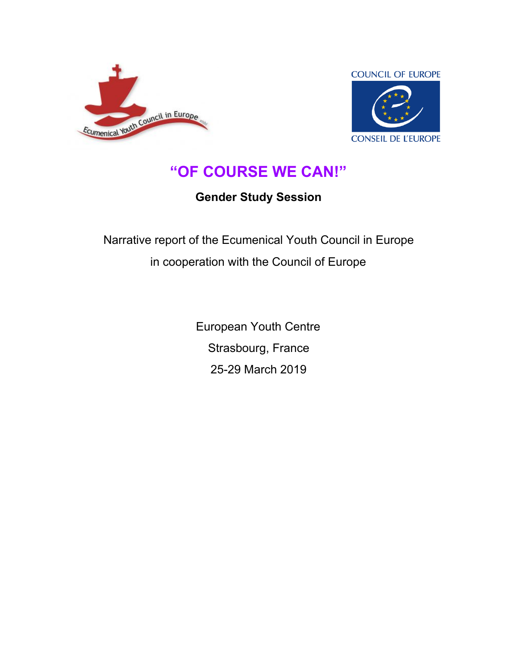



## **"OF COURSE WE CAN!"**

## **Gender Study Session**

Narrative report of the Ecumenical Youth Council in Europe in cooperation with the Council of Europe

> European Youth Centre Strasbourg, France 25-29 March 2019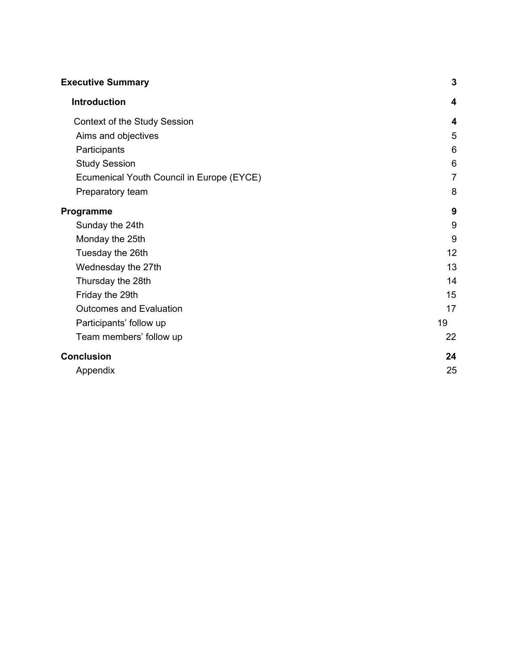| <b>Executive Summary</b>                  | $\mathbf 3$    |
|-------------------------------------------|----------------|
| <b>Introduction</b>                       | 4              |
| Context of the Study Session              | 4              |
| Aims and objectives                       | 5              |
| Participants                              | 6              |
| <b>Study Session</b>                      | 6              |
| Ecumenical Youth Council in Europe (EYCE) | $\overline{7}$ |
| Preparatory team                          | 8              |
| Programme                                 | 9              |
| Sunday the 24th                           | 9              |
| Monday the 25th                           | 9              |
| Tuesday the 26th                          | 12             |
| Wednesday the 27th                        | 13             |
| Thursday the 28th                         | 14             |
| Friday the 29th                           | 15             |
| <b>Outcomes and Evaluation</b>            | 17             |
| Participants' follow up                   | 19             |
| Team members' follow up                   | 22             |
| <b>Conclusion</b>                         | 24             |
| Appendix                                  | 25             |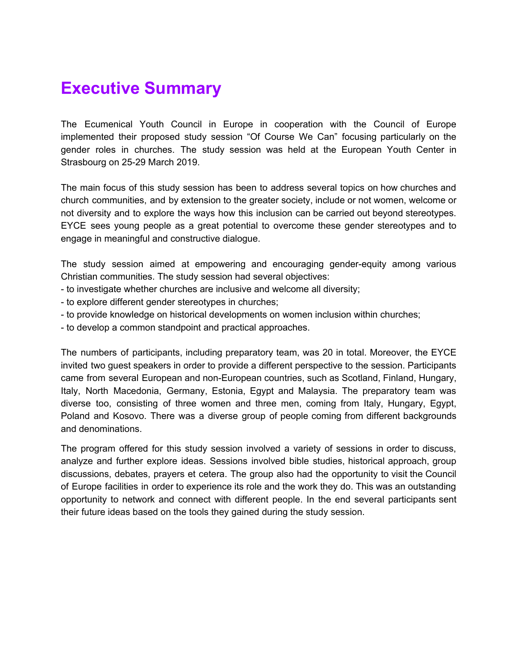## <span id="page-2-0"></span>**Executive Summary**

The Ecumenical Youth Council in Europe in cooperation with the Council of Europe implemented their proposed study session "Of Course We Can" focusing particularly on the gender roles in churches. The study session was held at the European Youth Center in Strasbourg on 25-29 March 2019.

The main focus of this study session has been to address several topics on how churches and church communities, and by extension to the greater society, include or not women, welcome or not diversity and to explore the ways how this inclusion can be carried out beyond stereotypes. EYCE sees young people as a great potential to overcome these gender stereotypes and to engage in meaningful and constructive dialogue.

The study session aimed at empowering and encouraging gender-equity among various Christian communities. The study session had several objectives:

- to investigate whether churches are inclusive and welcome all diversity;
- to explore different gender stereotypes in churches;
- to provide knowledge on historical developments on women inclusion within churches;
- to develop a common standpoint and practical approaches.

The numbers of participants, including preparatory team, was 20 in total. Moreover, the EYCE invited two guest speakers in order to provide a different perspective to the session. Participants came from several European and non-European countries, such as Scotland, Finland, Hungary, Italy, North Macedonia, Germany, Estonia, Egypt and Malaysia. The preparatory team was diverse too, consisting of three women and three men, coming from Italy, Hungary, Egypt, Poland and Kosovo. There was a diverse group of people coming from different backgrounds and denominations.

The program offered for this study session involved a variety of sessions in order to discuss, analyze and further explore ideas. Sessions involved bible studies, historical approach, group discussions, debates, prayers et cetera. The group also had the opportunity to visit the Council of Europe facilities in order to experience its role and the work they do. This was an outstanding opportunity to network and connect with different people. In the end several participants sent their future ideas based on the tools they gained during the study session.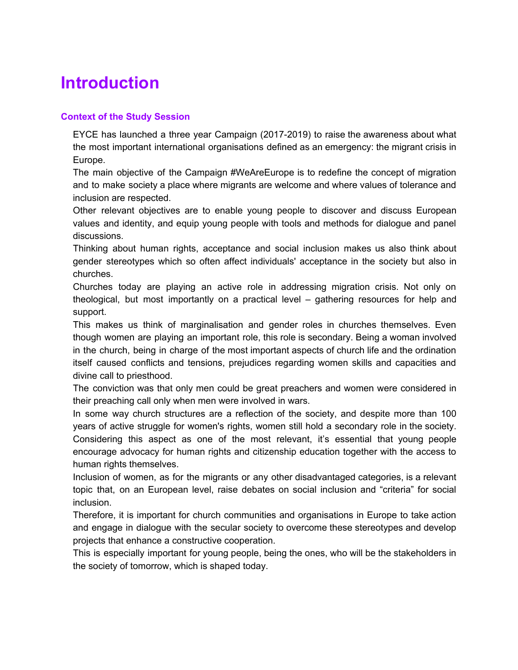# <span id="page-3-0"></span>**Introduction**

#### <span id="page-3-1"></span>**Context of the Study Session**

EYCE has launched a three year Campaign (2017-2019) to raise the awareness about what the most important international organisations defined as an emergency: the migrant crisis in Europe.

The main objective of the Campaign #WeAreEurope is to redefine the concept of migration and to make society a place where migrants are welcome and where values of tolerance and inclusion are respected.

Other relevant objectives are to enable young people to discover and discuss European values and identity, and equip young people with tools and methods for dialogue and panel discussions.

Thinking about human rights, acceptance and social inclusion makes us also think about gender stereotypes which so often affect individuals' acceptance in the society but also in churches.

Churches today are playing an active role in addressing migration crisis. Not only on theological, but most importantly on a practical level – gathering resources for help and support.

This makes us think of marginalisation and gender roles in churches themselves. Even though women are playing an important role, this role is secondary. Being a woman involved in the church, being in charge of the most important aspects of church life and the ordination itself caused conflicts and tensions, prejudices regarding women skills and capacities and divine call to priesthood.

The conviction was that only men could be great preachers and women were considered in their preaching call only when men were involved in wars.

In some way church structures are a reflection of the society, and despite more than 100 years of active struggle for women's rights, women still hold a secondary role in the society. Considering this aspect as one of the most relevant, it's essential that young people encourage advocacy for human rights and citizenship education together with the access to human rights themselves.

Inclusion of women, as for the migrants or any other disadvantaged categories, is a relevant topic that, on an European level, raise debates on social inclusion and "criteria" for social inclusion.

Therefore, it is important for church communities and organisations in Europe to take action and engage in dialogue with the secular society to overcome these stereotypes and develop projects that enhance a constructive cooperation.

This is especially important for young people, being the ones, who will be the stakeholders in the society of tomorrow, which is shaped today.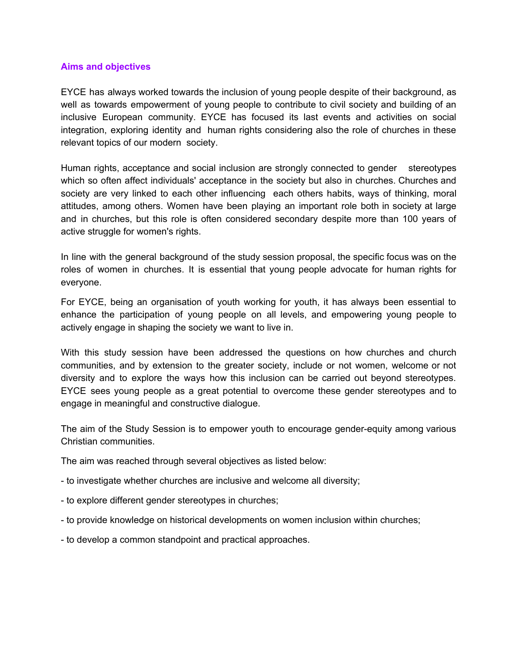#### **Aims and objectives**

EYCE has always worked towards the inclusion of young people despite of their background, as well as towards empowerment of young people to contribute to civil society and building of an inclusive European community. EYCE has focused its last events and activities on social integration, exploring identity and human rights considering also the role of churches in these relevant topics of our modern society.

Human rights, acceptance and social inclusion are strongly connected to gender stereotypes which so often affect individuals' acceptance in the society but also in churches. Churches and society are very linked to each other influencing each others habits, ways of thinking, moral attitudes, among others. Women have been playing an important role both in society at large and in churches, but this role is often considered secondary despite more than 100 years of active struggle for women's rights.

In line with the general background of the study session proposal, the specific focus was on the roles of women in churches. It is essential that young people advocate for human rights for everyone.

For EYCE, being an organisation of youth working for youth, it has always been essential to enhance the participation of young people on all levels, and empowering young people to actively engage in shaping the society we want to live in.

With this study session have been addressed the questions on how churches and church communities, and by extension to the greater society, include or not women, welcome or not diversity and to explore the ways how this inclusion can be carried out beyond stereotypes. EYCE sees young people as a great potential to overcome these gender stereotypes and to engage in meaningful and constructive dialogue.

The aim of the Study Session is to empower youth to encourage gender-equity among various Christian communities.

The aim was reached through several objectives as listed below:

- to investigate whether churches are inclusive and welcome all diversity;
- to explore different gender stereotypes in churches;
- to provide knowledge on historical developments on women inclusion within churches;
- to develop a common standpoint and practical approaches.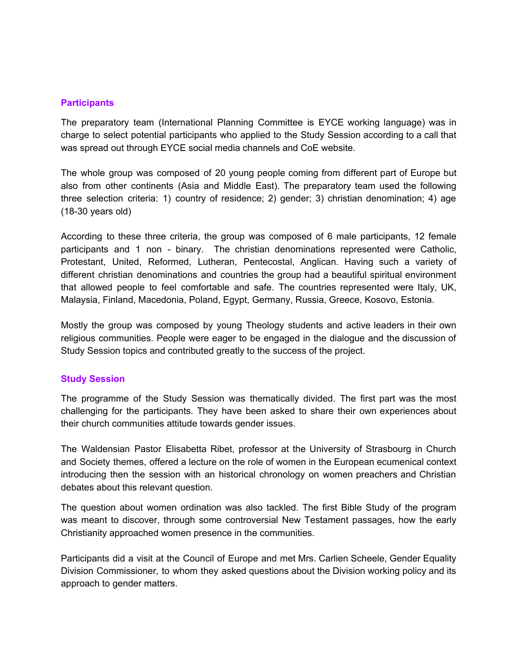#### <span id="page-5-0"></span>**Participants**

The preparatory team (International Planning Committee is EYCE working language) was in charge to select potential participants who applied to the Study Session according to a call that was spread out through EYCE social media channels and CoE website.

The whole group was composed of 20 young people coming from different part of Europe but also from other continents (Asia and Middle East). The preparatory team used the following three selection criteria: 1) country of residence; 2) gender; 3) christian denomination; 4) age (18-30 years old)

According to these three criteria, the group was composed of 6 male participants, 12 female participants and 1 non - binary. The christian denominations represented were Catholic, Protestant, United, Reformed, Lutheran, Pentecostal, Anglican. Having such a variety of different christian denominations and countries the group had a beautiful spiritual environment that allowed people to feel comfortable and safe. The countries represented were Italy, UK, Malaysia, Finland, Macedonia, Poland, Egypt, Germany, Russia, Greece, Kosovo, Estonia.

Mostly the group was composed by young Theology students and active leaders in their own religious communities. People were eager to be engaged in the dialogue and the discussion of Study Session topics and contributed greatly to the success of the project.

#### <span id="page-5-1"></span>**Study Session**

The programme of the Study Session was thematically divided. The first part was the most challenging for the participants. They have been asked to share their own experiences about their church communities attitude towards gender issues.

The Waldensian Pastor Elisabetta Ribet, professor at the University of Strasbourg in Church and Society themes, offered a lecture on the role of women in the European ecumenical context introducing then the session with an historical chronology on women preachers and Christian debates about this relevant question.

The question about women ordination was also tackled. The first Bible Study of the program was meant to discover, through some controversial New Testament passages, how the early Christianity approached women presence in the communities.

Participants did a visit at the Council of Europe and met Mrs. Carlien Scheele, Gender Equality Division Commissioner, to whom they asked questions about the Division working policy and its approach to gender matters.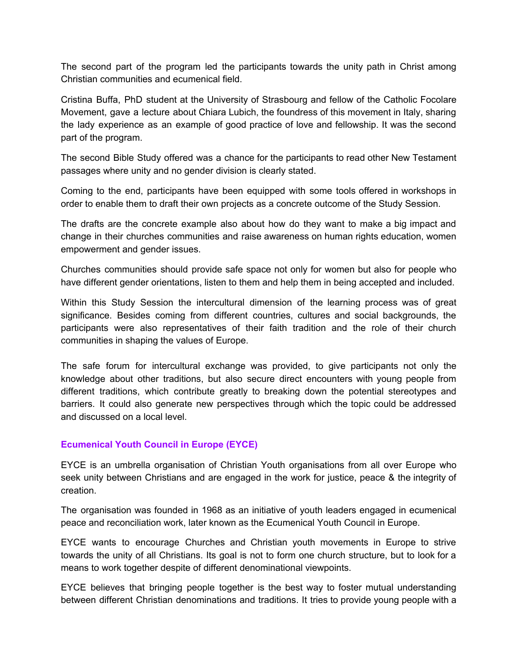The second part of the program led the participants towards the unity path in Christ among Christian communities and ecumenical field.

Cristina Buffa, PhD student at the University of Strasbourg and fellow of the Catholic Focolare Movement, gave a lecture about Chiara Lubich, the foundress of this movement in Italy, sharing the lady experience as an example of good practice of love and fellowship. It was the second part of the program.

The second Bible Study offered was a chance for the participants to read other New Testament passages where unity and no gender division is clearly stated.

Coming to the end, participants have been equipped with some tools offered in workshops in order to enable them to draft their own projects as a concrete outcome of the Study Session.

The drafts are the concrete example also about how do they want to make a big impact and change in their churches communities and raise awareness on human rights education, women empowerment and gender issues.

Churches communities should provide safe space not only for women but also for people who have different gender orientations, listen to them and help them in being accepted and included.

Within this Study Session the intercultural dimension of the learning process was of great significance. Besides coming from different countries, cultures and social backgrounds, the participants were also representatives of their faith tradition and the role of their church communities in shaping the values of Europe.

The safe forum for intercultural exchange was provided, to give participants not only the knowledge about other traditions, but also secure direct encounters with young people from different traditions, which contribute greatly to breaking down the potential stereotypes and barriers. It could also generate new perspectives through which the topic could be addressed and discussed on a local level.

#### <span id="page-6-0"></span>**Ecumenical Youth Council in Europe (EYCE)**

EYCE is an umbrella organisation of Christian Youth organisations from all over Europe who seek unity between Christians and are engaged in the work for justice, peace & the integrity of creation.

The organisation was founded in 1968 as an initiative of youth leaders engaged in ecumenical peace and reconciliation work, later known as the Ecumenical Youth Council in Europe.

EYCE wants to encourage Churches and Christian youth movements in Europe to strive towards the unity of all Christians. Its goal is not to form one church structure, but to look for a means to work together despite of different denominational viewpoints.

EYCE believes that bringing people together is the best way to foster mutual understanding between different Christian denominations and traditions. It tries to provide young people with a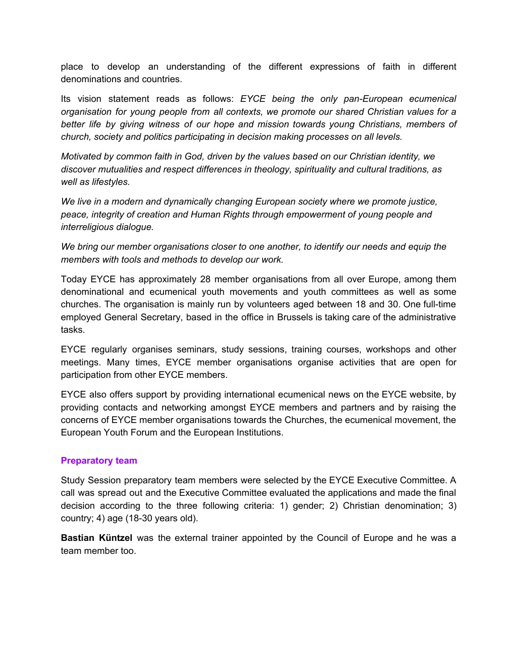place to develop an understanding of the different expressions of faith in different denominations and countries.

Its vision statement reads as follows: *EYCE being the only pan-European ecumenical organisation for young people from all contexts, we promote our shared Christian values for a better life by giving witness of our hope and mission towards young Christians, members of church, society and politics participating in decision making processes on all levels.*

*Motivated by common faith in God, driven by the values based on our Christian identity, we discover mutualities and respect differences in theology, spirituality and cultural traditions, as well as lifestyles.*

*We live in a modern and dynamically changing European society where we promote justice, peace, integrity of creation and Human Rights through empowerment of young people and interreligious dialogue.*

*We bring our member organisations closer to one another, to identify our needs and equip the members with tools and methods to develop our work.*

Today EYCE has approximately 28 member organisations from all over Europe, among them denominational and ecumenical youth movements and youth committees as well as some churches. The organisation is mainly run by volunteers aged between 18 and 30. One full-time employed General Secretary, based in the office in Brussels is taking care of the administrative tasks.

EYCE regularly organises seminars, study sessions, training courses, workshops and other meetings. Many times, EYCE member organisations organise activities that are open for participation from other EYCE members.

EYCE also offers support by providing international ecumenical news on the EYCE website, by providing contacts and networking amongst EYCE members and partners and by raising the concerns of EYCE member organisations towards the Churches, the ecumenical movement, the European Youth Forum and the European Institutions.

#### <span id="page-7-0"></span>**Preparatory team**

Study Session preparatory team members were selected by the EYCE Executive Committee. A call was spread out and the Executive Committee evaluated the applications and made the final decision according to the three following criteria: 1) gender; 2) Christian denomination; 3) country; 4) age (18-30 years old).

**Bastian Küntzel** was the external trainer appointed by the Council of Europe and he was a team member too.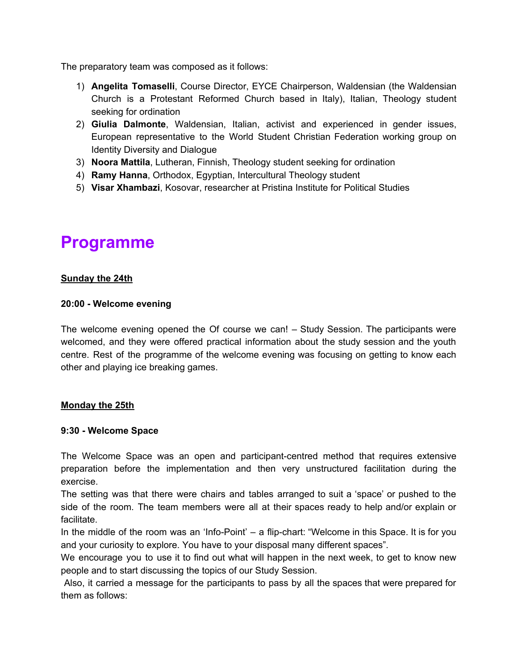The preparatory team was composed as it follows:

- 1) **Angelita Tomaselli**, Course Director, EYCE Chairperson, Waldensian (the Waldensian Church is a Protestant Reformed Church based in Italy), Italian, Theology student seeking for ordination
- 2) **Giulia Dalmonte**, Waldensian, Italian, activist and experienced in gender issues, European representative to the World Student Christian Federation working group on Identity Diversity and Dialogue
- 3) **Noora Mattila**, Lutheran, Finnish, Theology student seeking for ordination
- 4) **Ramy Hanna**, Orthodox, Egyptian, Intercultural Theology student
- 5) **Visar Xhambazi**, Kosovar, researcher at Pristina Institute for Political Studies

## <span id="page-8-0"></span>**Programme**

#### **Sunday the 24th**

#### **20:00 - Welcome evening**

The welcome evening opened the Of course we can! – Study Session. The participants were welcomed, and they were offered practical information about the study session and the youth centre. Rest of the programme of the welcome evening was focusing on getting to know each other and playing ice breaking games.

#### **Monday the 25th**

#### **9:30 - Welcome Space**

The Welcome Space was an open and participant-centred method that requires extensive preparation before the implementation and then very unstructured facilitation during the exercise.

The setting was that there were chairs and tables arranged to suit a 'space' or pushed to the side of the room. The team members were all at their spaces ready to help and/or explain or facilitate.

In the middle of the room was an 'Info-Point' – a flip-chart: "Welcome in this Space. It is for you and your curiosity to explore. You have to your disposal many different spaces".

We encourage you to use it to find out what will happen in the next week, to get to know new people and to start discussing the topics of our Study Session.

Also, it carried a message for the participants to pass by all the spaces that were prepared for them as follows: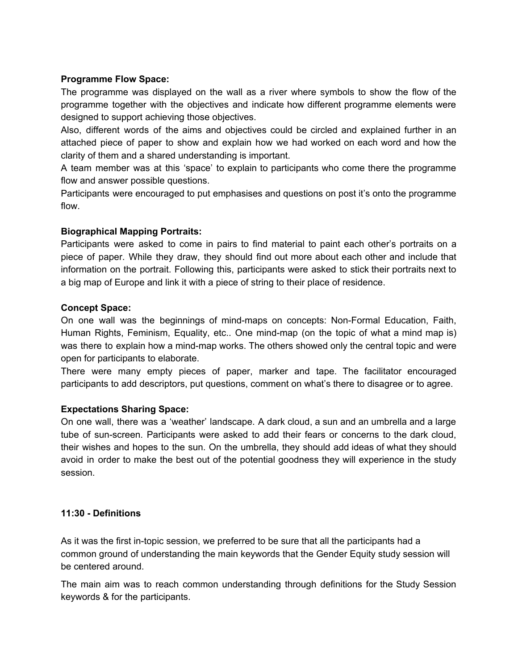#### **Programme Flow Space:**

The programme was displayed on the wall as a river where symbols to show the flow of the programme together with the objectives and indicate how different programme elements were designed to support achieving those objectives.

Also, different words of the aims and objectives could be circled and explained further in an attached piece of paper to show and explain how we had worked on each word and how the clarity of them and a shared understanding is important.

A team member was at this 'space' to explain to participants who come there the programme flow and answer possible questions.

Participants were encouraged to put emphasises and questions on post it's onto the programme flow.

#### **Biographical Mapping Portraits:**

Participants were asked to come in pairs to find material to paint each other's portraits on a piece of paper. While they draw, they should find out more about each other and include that information on the portrait. Following this, participants were asked to stick their portraits next to a big map of Europe and link it with a piece of string to their place of residence.

#### **Concept Space:**

On one wall was the beginnings of mind-maps on concepts: Non-Formal Education, Faith, Human Rights, Feminism, Equality, etc.. One mind-map (on the topic of what a mind map is) was there to explain how a mind-map works. The others showed only the central topic and were open for participants to elaborate.

There were many empty pieces of paper, marker and tape. The facilitator encouraged participants to add descriptors, put questions, comment on what's there to disagree or to agree.

## **Expectations Sharing Space:**

On one wall, there was a 'weather' landscape. A dark cloud, a sun and an umbrella and a large tube of sun-screen. Participants were asked to add their fears or concerns to the dark cloud, their wishes and hopes to the sun. On the umbrella, they should add ideas of what they should avoid in order to make the best out of the potential goodness they will experience in the study session.

#### **11:30 - Definitions**

As it was the first in-topic session, we preferred to be sure that all the participants had a common ground of understanding the main keywords that the Gender Equity study session will be centered around.

The main aim was to reach common understanding through definitions for the Study Session keywords & for the participants.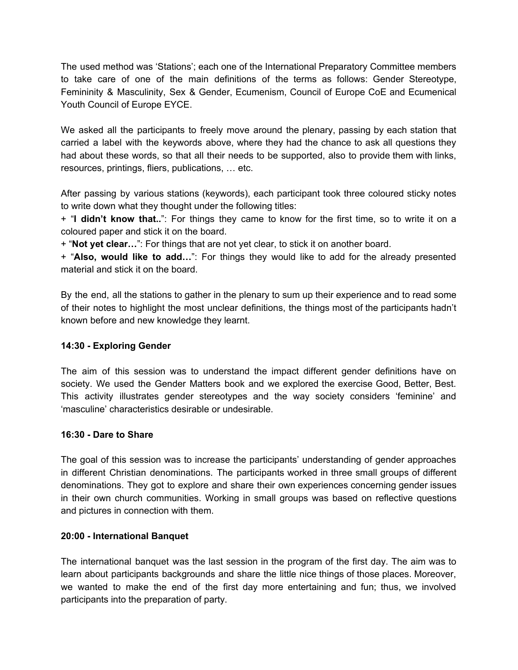The used method was 'Stations'; each one of the International Preparatory Committee members to take care of one of the main definitions of the terms as follows: Gender Stereotype, Femininity & Masculinity, Sex & Gender, Ecumenism, Council of Europe CoE and Ecumenical Youth Council of Europe EYCE.

We asked all the participants to freely move around the plenary, passing by each station that carried a label with the keywords above, where they had the chance to ask all questions they had about these words, so that all their needs to be supported, also to provide them with links, resources, printings, fliers, publications, … etc.

After passing by various stations (keywords), each participant took three coloured sticky notes to write down what they thought under the following titles:

+ "**I didn't know that..**": For things they came to know for the first time, so to write it on a coloured paper and stick it on the board.

+ "**Not yet clear…**": For things that are not yet clear, to stick it on another board.

+ "**Also, would like to add…**": For things they would like to add for the already presented material and stick it on the board.

By the end, all the stations to gather in the plenary to sum up their experience and to read some of their notes to highlight the most unclear definitions, the things most of the participants hadn't known before and new knowledge they learnt.

## **14:30 - Exploring Gender**

The aim of this session was to understand the impact different gender definitions have on society. We used the Gender Matters book and we explored the exercise Good, Better, Best. This activity illustrates gender stereotypes and the way society considers 'feminine' and 'masculine' characteristics desirable or undesirable.

#### **16:30 - Dare to Share**

The goal of this session was to increase the participants' understanding of gender approaches in different Christian denominations. The participants worked in three small groups of different denominations. They got to explore and share their own experiences concerning gender issues in their own church communities. Working in small groups was based on reflective questions and pictures in connection with them.

#### **20:00 - International Banquet**

The international banquet was the last session in the program of the first day. The aim was to learn about participants backgrounds and share the little nice things of those places. Moreover, we wanted to make the end of the first day more entertaining and fun; thus, we involved participants into the preparation of party.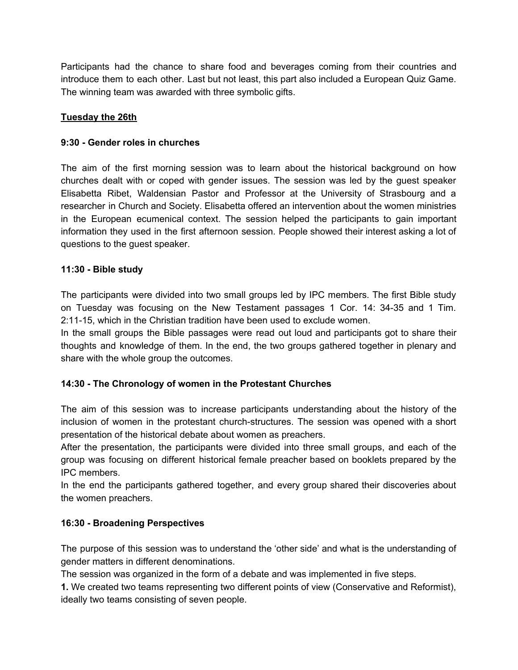Participants had the chance to share food and beverages coming from their countries and introduce them to each other. Last but not least, this part also included a European Quiz Game. The winning team was awarded with three symbolic gifts.

## **Tuesday the 26th**

## **9:30 - Gender roles in churches**

The aim of the first morning session was to learn about the historical background on how churches dealt with or coped with gender issues. The session was led by the guest speaker Elisabetta Ribet, Waldensian Pastor and Professor at the University of Strasbourg and a researcher in Church and Society. Elisabetta offered an intervention about the women ministries in the European ecumenical context. The session helped the participants to gain important information they used in the first afternoon session. People showed their interest asking a lot of questions to the guest speaker.

## **11:30 - Bible study**

The participants were divided into two small groups led by IPC members. The first Bible study on Tuesday was focusing on the New Testament passages 1 Cor. 14: 34-35 and 1 Tim. 2:11-15, which in the Christian tradition have been used to exclude women.

In the small groups the Bible passages were read out loud and participants got to share their thoughts and knowledge of them. In the end, the two groups gathered together in plenary and share with the whole group the outcomes.

## **14:30 - The Chronology of women in the Protestant Churches**

The aim of this session was to increase participants understanding about the history of the inclusion of women in the protestant church-structures. The session was opened with a short presentation of the historical debate about women as preachers.

After the presentation, the participants were divided into three small groups, and each of the group was focusing on different historical female preacher based on booklets prepared by the IPC members.

In the end the participants gathered together, and every group shared their discoveries about the women preachers.

## **16:30 - Broadening Perspectives**

The purpose of this session was to understand the 'other side' and what is the understanding of gender matters in different denominations.

The session was organized in the form of a debate and was implemented in five steps.

**1.** We created two teams representing two different points of view (Conservative and Reformist), ideally two teams consisting of seven people.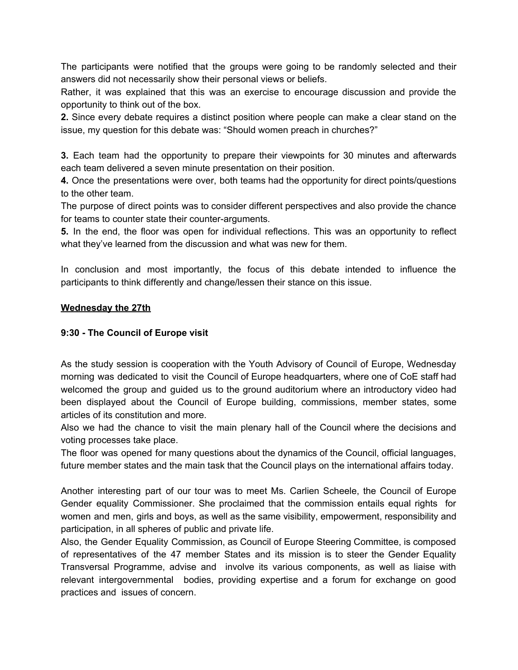The participants were notified that the groups were going to be randomly selected and their answers did not necessarily show their personal views or beliefs.

Rather, it was explained that this was an exercise to encourage discussion and provide the opportunity to think out of the box.

**2.** Since every debate requires a distinct position where people can make a clear stand on the issue, my question for this debate was: "Should women preach in churches?"

**3.** Each team had the opportunity to prepare their viewpoints for 30 minutes and afterwards each team delivered a seven minute presentation on their position.

**4.** Once the presentations were over, both teams had the opportunity for direct points/questions to the other team.

The purpose of direct points was to consider different perspectives and also provide the chance for teams to counter state their counter-arguments.

**5.** In the end, the floor was open for individual reflections. This was an opportunity to reflect what they've learned from the discussion and what was new for them.

In conclusion and most importantly, the focus of this debate intended to influence the participants to think differently and change/lessen their stance on this issue.

#### **Wednesday the 27th**

#### **9:30 - The Council of Europe visit**

As the study session is cooperation with the Youth Advisory of Council of Europe, Wednesday morning was dedicated to visit the Council of Europe headquarters, where one of CoE staff had welcomed the group and guided us to the ground auditorium where an introductory video had been displayed about the Council of Europe building, commissions, member states, some articles of its constitution and more.

Also we had the chance to visit the main plenary hall of the Council where the decisions and voting processes take place.

The floor was opened for many questions about the dynamics of the Council, official languages, future member states and the main task that the Council plays on the international affairs today.

Another interesting part of our tour was to meet Ms. Carlien Scheele, the Council of Europe Gender equality Commissioner. She proclaimed that the commission entails equal rights for women and men, girls and boys, as well as the same visibility, empowerment, responsibility and participation, in all spheres of public and private life.

Also, the Gender Equality Commission, as Council of Europe Steering Committee, is composed of representatives of the 47 member States and its mission is to steer the Gender Equality Transversal Programme, advise and involve its various components, as well as liaise with relevant intergovernmental bodies, providing expertise and a forum for exchange on good practices and issues of concern.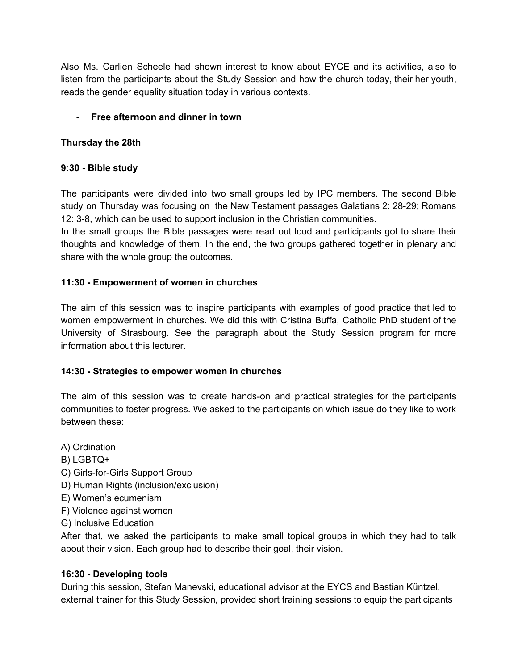Also Ms. Carlien Scheele had shown interest to know about EYCE and its activities, also to listen from the participants about the Study Session and how the church today, their her youth, reads the gender equality situation today in various contexts.

## **- Free afternoon and dinner in town**

## **Thursday the 28th**

## **9:30 - Bible study**

The participants were divided into two small groups led by IPC members. The second Bible study on Thursday was focusing on the New Testament passages Galatians 2: 28-29; Romans 12: 3-8, which can be used to support inclusion in the Christian communities.

In the small groups the Bible passages were read out loud and participants got to share their thoughts and knowledge of them. In the end, the two groups gathered together in plenary and share with the whole group the outcomes.

## **11:30 - Empowerment of women in churches**

The aim of this session was to inspire participants with examples of good practice that led to women empowerment in churches. We did this with Cristina Buffa, Catholic PhD student of the University of Strasbourg. See the paragraph about the Study Session program for more information about this lecturer.

## **14:30 - Strategies to empower women in churches**

The aim of this session was to create hands-on and practical strategies for the participants communities to foster progress. We asked to the participants on which issue do they like to work between these:

A) Ordination

- B) LGBTQ+
- C) Girls-for-Girls Support Group
- D) Human Rights (inclusion/exclusion)
- E) Women's ecumenism
- F) Violence against women
- G) Inclusive Education

After that, we asked the participants to make small topical groups in which they had to talk about their vision. Each group had to describe their goal, their vision.

## **16:30 - Developing tools**

During this session, Stefan Manevski, educational advisor at the EYCS and Bastian Küntzel, external trainer for this Study Session, provided short training sessions to equip the participants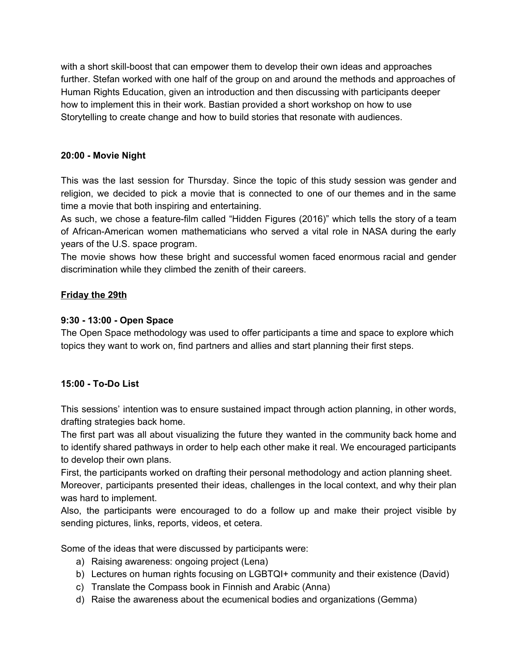with a short skill-boost that can empower them to develop their own ideas and approaches further. Stefan worked with one half of the group on and around the methods and approaches of Human Rights Education, given an introduction and then discussing with participants deeper how to implement this in their work. Bastian provided a short workshop on how to use Storytelling to create change and how to build stories that resonate with audiences.

## **20:00 - Movie Night**

This was the last session for Thursday. Since the topic of this study session was gender and religion, we decided to pick a movie that is connected to one of our themes and in the same time a movie that both inspiring and entertaining.

As such, we chose a feature-film called "Hidden Figures (2016)" which tells the story of a team of African-American women mathematicians who served a vital role in NASA during the early years of the U.S. space program.

The movie shows how these bright and successful women faced enormous racial and gender discrimination while they climbed the zenith of their careers.

## **Friday the 29th**

## **9:30 - 13:00 - Open Space**

The Open Space methodology was used to offer participants a time and space to explore which topics they want to work on, find partners and allies and start planning their first steps.

## **15:00 - To-Do List**

This sessions' intention was to ensure sustained impact through action planning, in other words, drafting strategies back home.

The first part was all about visualizing the future they wanted in the community back home and to identify shared pathways in order to help each other make it real. We encouraged participants to develop their own plans.

First, the participants worked on drafting their personal methodology and action planning sheet. Moreover, participants presented their ideas, challenges in the local context, and why their plan was hard to implement.

Also, the participants were encouraged to do a follow up and make their project visible by sending pictures, links, reports, videos, et cetera.

Some of the ideas that were discussed by participants were:

- a) Raising awareness: ongoing project (Lena)
- b) Lectures on human rights focusing on LGBTQI+ community and their existence (David)
- c) Translate the Compass book in Finnish and Arabic (Anna)
- d) Raise the awareness about the ecumenical bodies and organizations (Gemma)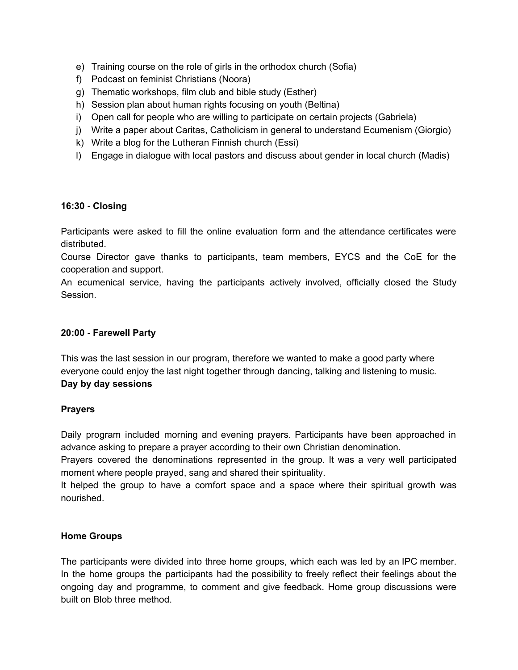- e) Training course on the role of girls in the orthodox church (Sofia)
- f) Podcast on feminist Christians (Noora)
- g) Thematic workshops, film club and bible study (Esther)
- h) Session plan about human rights focusing on youth (Beltina)
- i) Open call for people who are willing to participate on certain projects (Gabriela)
- j) Write a paper about Caritas, Catholicism in general to understand Ecumenism (Giorgio)
- k) Write a blog for the Lutheran Finnish church (Essi)
- l) Engage in dialogue with local pastors and discuss about gender in local church (Madis)

#### **16:30 - Closing**

Participants were asked to fill the online evaluation form and the attendance certificates were distributed.

Course Director gave thanks to participants, team members, EYCS and the CoE for the cooperation and support.

An ecumenical service, having the participants actively involved, officially closed the Study Session.

#### **20:00 - Farewell Party**

This was the last session in our program, therefore we wanted to make a good party where everyone could enjoy the last night together through dancing, talking and listening to music. **Day by day sessions**

#### **Prayers**

Daily program included morning and evening prayers. Participants have been approached in advance asking to prepare a prayer according to their own Christian denomination.

Prayers covered the denominations represented in the group. It was a very well participated moment where people prayed, sang and shared their spirituality.

It helped the group to have a comfort space and a space where their spiritual growth was nourished.

#### **Home Groups**

The participants were divided into three home groups, which each was led by an IPC member. In the home groups the participants had the possibility to freely reflect their feelings about the ongoing day and programme, to comment and give feedback. Home group discussions were built on Blob three method.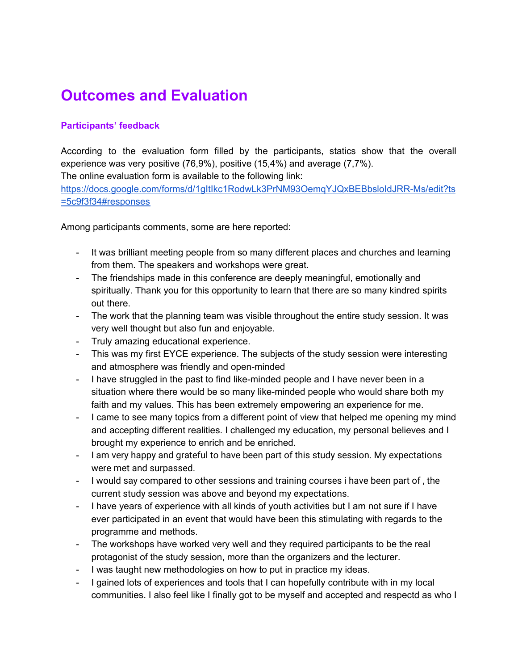## **Outcomes and Evaluation**

## **Participants' feedback**

According to the evaluation form filled by the participants, statics show that the overall experience was very positive (76,9%), positive (15,4%) and average (7,7%).

The online evaluation form is available to the following link:

[https://docs.google.com/forms/d/1gItIkc1RodwLk3PrNM93OemqYJQxBEBbsloIdJRR-Ms/edit?ts](https://docs.google.com/forms/d/1gItIkc1RodwLk3PrNM93OemqYJQxBEBbsloIdJRR-Ms/edit?ts=5c9f3f34#responses) [=5c9f3f34#responses](https://docs.google.com/forms/d/1gItIkc1RodwLk3PrNM93OemqYJQxBEBbsloIdJRR-Ms/edit?ts=5c9f3f34#responses)

Among participants comments, some are here reported:

- It was brilliant meeting people from so many different places and churches and learning from them. The speakers and workshops were great.
- The friendships made in this conference are deeply meaningful, emotionally and spiritually. Thank you for this opportunity to learn that there are so many kindred spirits out there.
- The work that the planning team was visible throughout the entire study session. It was very well thought but also fun and enjoyable.
- Truly amazing educational experience.
- This was my first EYCE experience. The subjects of the study session were interesting and atmosphere was friendly and open-minded
- I have struggled in the past to find like-minded people and I have never been in a situation where there would be so many like-minded people who would share both my faith and my values. This has been extremely empowering an experience for me.
- I came to see many topics from a different point of view that helped me opening my mind and accepting different realities. I challenged my education, my personal believes and I brought my experience to enrich and be enriched.
- I am very happy and grateful to have been part of this study session. My expectations were met and surpassed.
- I would say compared to other sessions and training courses i have been part of , the current study session was above and beyond my expectations.
- I have years of experience with all kinds of youth activities but I am not sure if I have ever participated in an event that would have been this stimulating with regards to the programme and methods.
- The workshops have worked very well and they required participants to be the real protagonist of the study session, more than the organizers and the lecturer.
- I was taught new methodologies on how to put in practice my ideas.
- I gained lots of experiences and tools that I can hopefully contribute with in my local communities. I also feel like I finally got to be myself and accepted and respectd as who I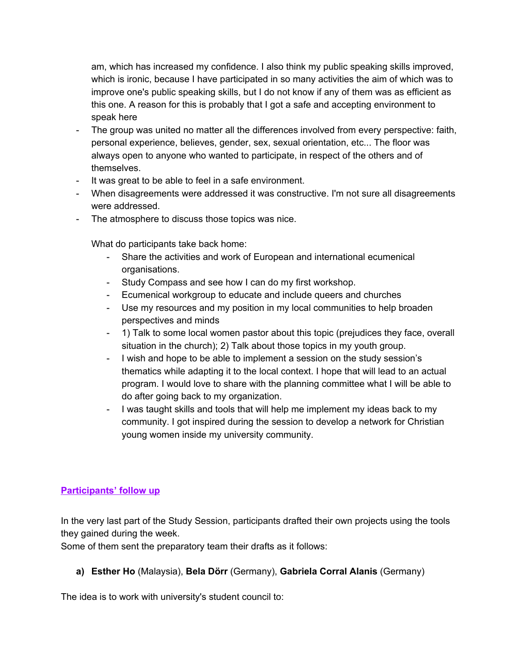am, which has increased my confidence. I also think my public speaking skills improved, which is ironic, because I have participated in so many activities the aim of which was to improve one's public speaking skills, but I do not know if any of them was as efficient as this one. A reason for this is probably that I got a safe and accepting environment to speak here

- The group was united no matter all the differences involved from every perspective: faith, personal experience, believes, gender, sex, sexual orientation, etc... The floor was always open to anyone who wanted to participate, in respect of the others and of themselves.
- It was great to be able to feel in a safe environment.
- When disagreements were addressed it was constructive. I'm not sure all disagreements were addressed.
- The atmosphere to discuss those topics was nice.

What do participants take back home:

- Share the activities and work of European and international ecumenical organisations.
- Study Compass and see how I can do my first workshop.
- Ecumenical workgroup to educate and include queers and churches
- Use my resources and my position in my local communities to help broaden perspectives and minds
- 1) Talk to some local women pastor about this topic (prejudices they face, overall situation in the church); 2) Talk about those topics in my youth group.
- I wish and hope to be able to implement a session on the study session's thematics while adapting it to the local context. I hope that will lead to an actual program. I would love to share with the planning committee what I will be able to do after going back to my organization.
- I was taught skills and tools that will help me implement my ideas back to my community. I got inspired during the session to develop a network for Christian young women inside my university community.

## **Participants' follow up**

In the very last part of the Study Session, participants drafted their own projects using the tools they gained during the week.

Some of them sent the preparatory team their drafts as it follows:

## **a) Esther Ho** (Malaysia), **Bela Dörr** (Germany), **Gabriela Corral Alanis** (Germany)

The idea is to work with university's student council to: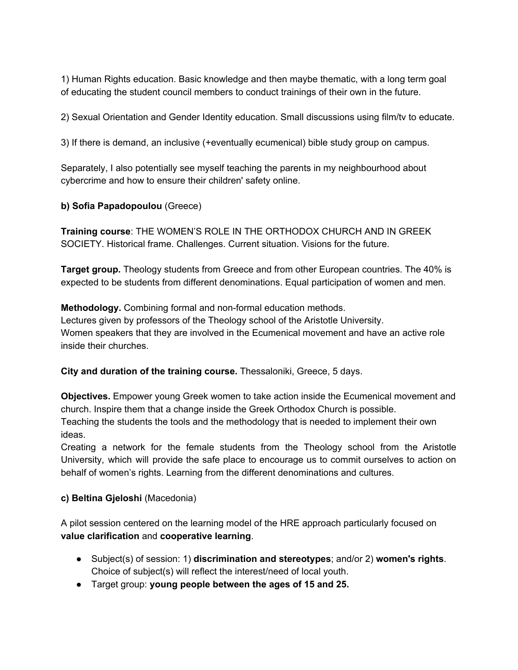1) Human Rights education. Basic knowledge and then maybe thematic, with a long term goal of educating the student council members to conduct trainings of their own in the future.

2) Sexual Orientation and Gender Identity education. Small discussions using film/tv to educate.

3) If there is demand, an inclusive (+eventually ecumenical) bible study group on campus.

Separately, I also potentially see myself teaching the parents in my neighbourhood about cybercrime and how to ensure their children' safety online.

## **b) Sofia Papadopoulou** (Greece)

**Training course**: THE WOMEN'S ROLE IN THE ORTHODOX CHURCH AND IN GREEK SOCIETY. Historical frame. Challenges. Current situation. Visions for the future.

**Target group.** Theology students from Greece and from other European countries. The 40% is expected to be students from different denominations. Equal participation of women and men.

**Methodology.** Combining formal and non-formal education methods. Lectures given by professors of the Theology school of the Aristotle University. Women speakers that they are involved in the Ecumenical movement and have an active role inside their churches.

## **City and duration of the training course.** Thessaloniki, Greece, 5 days.

**Objectives.** Empower young Greek women to take action inside the Ecumenical movement and church. Inspire them that a change inside the Greek Orthodox Church is possible. Teaching the students the tools and the methodology that is needed to implement their own ideas.

Creating a network for the female students from the Theology school from the Aristotle University, which will provide the safe place to encourage us to commit ourselves to action on behalf of women's rights. Learning from the different denominations and cultures.

## **c) Beltina Gjeloshi** (Macedonia)

A pilot session centered on the learning model of the HRE approach particularly focused on **value clarification** and **cooperative learning**.

- Subject(s) of session: 1) **discrimination and stereotypes**; and/or 2) **women's rights**. Choice of subject(s) will reflect the interest/need of local youth.
- Target group: **young people between the ages of 15 and 25.**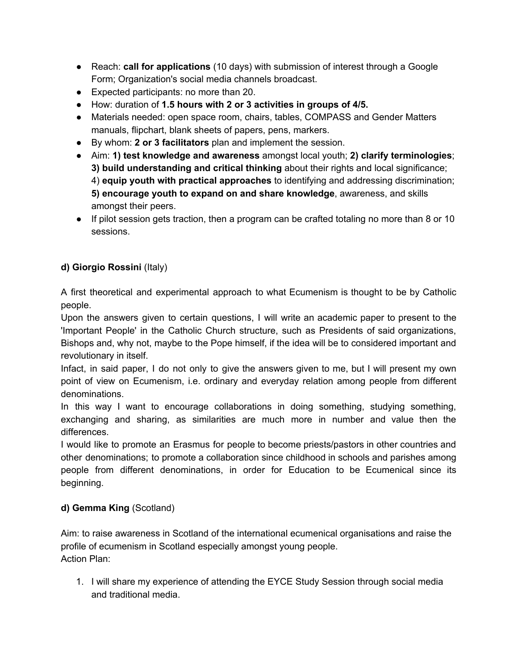- Reach: **call for applications** (10 days) with submission of interest through a Google Form; Organization's social media channels broadcast.
- Expected participants: no more than 20.
- How: duration of **1.5 hours with 2 or 3 activities in groups of 4/5.**
- Materials needed: open space room, chairs, tables, COMPASS and Gender Matters manuals, flipchart, blank sheets of papers, pens, markers.
- By whom: **2 or 3 facilitators** plan and implement the session.
- Aim: **1) test knowledge and awareness** amongst local youth; **2) clarify terminologies**; **3) build understanding and critical thinking** about their rights and local significance; 4) **equip youth with practical approaches** to identifying and addressing discrimination; **5) encourage youth to expand on and share knowledge**, awareness, and skills amongst their peers.
- If pilot session gets traction, then a program can be crafted totaling no more than 8 or 10 sessions.

## **d) Giorgio Rossini** (Italy)

A first theoretical and experimental approach to what Ecumenism is thought to be by Catholic people.

Upon the answers given to certain questions, I will write an academic paper to present to the 'Important People' in the Catholic Church structure, such as Presidents of said organizations, Bishops and, why not, maybe to the Pope himself, if the idea will be to considered important and revolutionary in itself.

Infact, in said paper, I do not only to give the answers given to me, but I will present my own point of view on Ecumenism, i.e. ordinary and everyday relation among people from different denominations.

In this way I want to encourage collaborations in doing something, studying something, exchanging and sharing, as similarities are much more in number and value then the differences.

I would like to promote an Erasmus for people to become priests/pastors in other countries and other denominations; to promote a collaboration since childhood in schools and parishes among people from different denominations, in order for Education to be Ecumenical since its beginning.

## **d) Gemma King** (Scotland)

Aim: to raise awareness in Scotland of the international ecumenical organisations and raise the profile of ecumenism in Scotland especially amongst young people. Action Plan:

1. I will share my experience of attending the EYCE Study Session through social media and traditional media.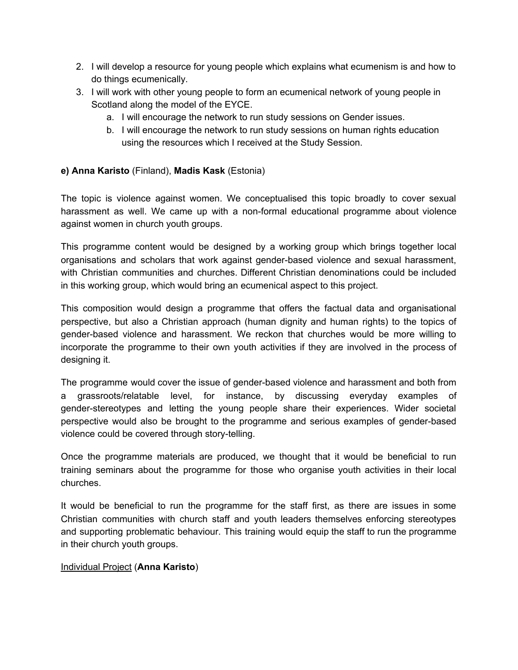- 2. I will develop a resource for young people which explains what ecumenism is and how to do things ecumenically.
- 3. I will work with other young people to form an ecumenical network of young people in Scotland along the model of the EYCE.
	- a. I will encourage the network to run study sessions on Gender issues.
	- b. I will encourage the network to run study sessions on human rights education using the resources which I received at the Study Session.

## **e) Anna Karisto** (Finland), **Madis Kask** (Estonia)

The topic is violence against women. We conceptualised this topic broadly to cover sexual harassment as well. We came up with a non-formal educational programme about violence against women in church youth groups.

This programme content would be designed by a working group which brings together local organisations and scholars that work against gender-based violence and sexual harassment, with Christian communities and churches. Different Christian denominations could be included in this working group, which would bring an ecumenical aspect to this project.

This composition would design a programme that offers the factual data and organisational perspective, but also a Christian approach (human dignity and human rights) to the topics of gender-based violence and harassment. We reckon that churches would be more willing to incorporate the programme to their own youth activities if they are involved in the process of designing it.

The programme would cover the issue of gender-based violence and harassment and both from a grassroots/relatable level, for instance, by discussing everyday examples of gender-stereotypes and letting the young people share their experiences. Wider societal perspective would also be brought to the programme and serious examples of gender-based violence could be covered through story-telling.

Once the programme materials are produced, we thought that it would be beneficial to run training seminars about the programme for those who organise youth activities in their local churches.

It would be beneficial to run the programme for the staff first, as there are issues in some Christian communities with church staff and youth leaders themselves enforcing stereotypes and supporting problematic behaviour. This training would equip the staff to run the programme in their church youth groups.

## Individual Project (**Anna Karisto**)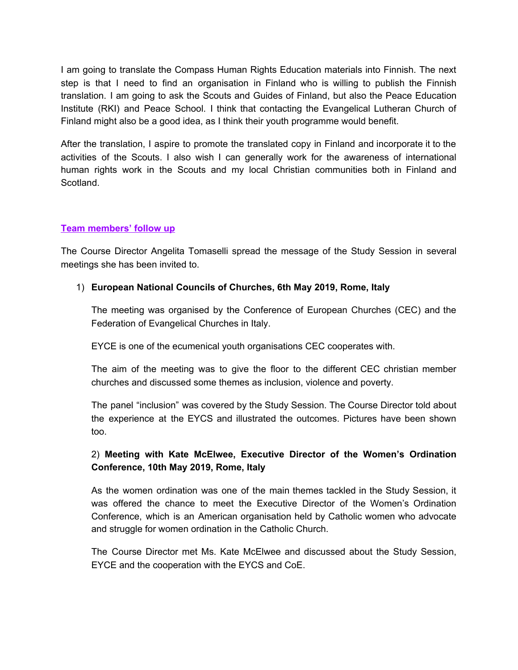I am going to translate the Compass Human Rights Education materials into Finnish. The next step is that I need to find an organisation in Finland who is willing to publish the Finnish translation. I am going to ask the Scouts and Guides of Finland, but also the Peace Education Institute (RKI) and Peace School. I think that contacting the Evangelical Lutheran Church of Finland might also be a good idea, as I think their youth programme would benefit.

After the translation, I aspire to promote the translated copy in Finland and incorporate it to the activities of the Scouts. I also wish I can generally work for the awareness of international human rights work in the Scouts and my local Christian communities both in Finland and Scotland.

#### **Team members' follow up**

The Course Director Angelita Tomaselli spread the message of the Study Session in several meetings she has been invited to.

#### 1) **European National Councils of Churches, 6th May 2019, Rome, Italy**

The meeting was organised by the Conference of European Churches (CEC) and the Federation of Evangelical Churches in Italy.

EYCE is one of the ecumenical youth organisations CEC cooperates with.

The aim of the meeting was to give the floor to the different CEC christian member churches and discussed some themes as inclusion, violence and poverty.

The panel "inclusion" was covered by the Study Session. The Course Director told about the experience at the EYCS and illustrated the outcomes. Pictures have been shown too.

## 2) **Meeting with Kate McElwee, Executive Director of the Women's Ordination Conference, 10th May 2019, Rome, Italy**

As the women ordination was one of the main themes tackled in the Study Session, it was offered the chance to meet the Executive Director of the Women's Ordination Conference, which is an American organisation held by Catholic women who advocate and struggle for women ordination in the Catholic Church.

The Course Director met Ms. Kate McElwee and discussed about the Study Session, EYCE and the cooperation with the EYCS and CoE.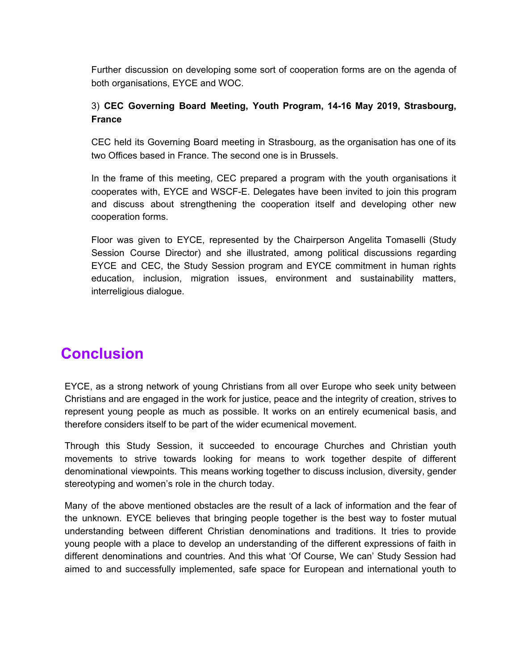Further discussion on developing some sort of cooperation forms are on the agenda of both organisations, EYCE and WOC.

## 3) **CEC Governing Board Meeting, Youth Program, 14-16 May 2019, Strasbourg, France**

CEC held its Governing Board meeting in Strasbourg, as the organisation has one of its two Offices based in France. The second one is in Brussels.

In the frame of this meeting, CEC prepared a program with the youth organisations it cooperates with, EYCE and WSCF-E. Delegates have been invited to join this program and discuss about strengthening the cooperation itself and developing other new cooperation forms.

Floor was given to EYCE, represented by the Chairperson Angelita Tomaselli (Study Session Course Director) and she illustrated, among political discussions regarding EYCE and CEC, the Study Session program and EYCE commitment in human rights education, inclusion, migration issues, environment and sustainability matters, interreligious dialogue.

## **Conclusion**

EYCE, as a strong network of young Christians from all over Europe who seek unity between Christians and are engaged in the work for justice, peace and the integrity of creation, strives to represent young people as much as possible. It works on an entirely ecumenical basis, and therefore considers itself to be part of the wider ecumenical movement.

Through this Study Session, it succeeded to encourage Churches and Christian youth movements to strive towards looking for means to work together despite of different denominational viewpoints. This means working together to discuss inclusion, diversity, gender stereotyping and women's role in the church today.

Many of the above mentioned obstacles are the result of a lack of information and the fear of the unknown. EYCE believes that bringing people together is the best way to foster mutual understanding between different Christian denominations and traditions. It tries to provide young people with a place to develop an understanding of the different expressions of faith in different denominations and countries. And this what 'Of Course, We can' Study Session had aimed to and successfully implemented, safe space for European and international youth to